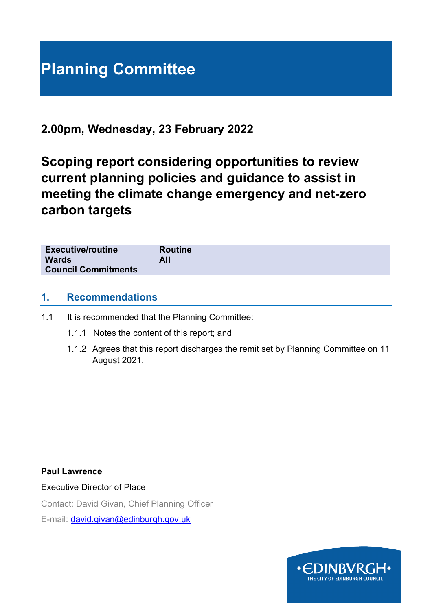# **Planning Committee**

# **2.00pm, Wednesday, 23 February 2022**

**Scoping report considering opportunities to review current planning policies and guidance to assist in meeting the climate change emergency and net-zero carbon targets**

| <b>Executive/routine</b><br><b>Wards</b> | <b>Routine</b><br>All |  |  |
|------------------------------------------|-----------------------|--|--|
| <b>Council Commitments</b>               |                       |  |  |

# **1. Recommendations**

## 1.1 It is recommended that the Planning Committee:

- 1.1.1 Notes the content of this report; and
- 1.1.2 Agrees that this report discharges the remit set by Planning Committee on 11 August 2021.

**Paul Lawrence**

Executive Director of Place

Contact: David Givan, Chief Planning Officer

E-mail: [david.givan@edinburgh.gov.uk](mailto:david.givan@edinburgh.gov.uk)

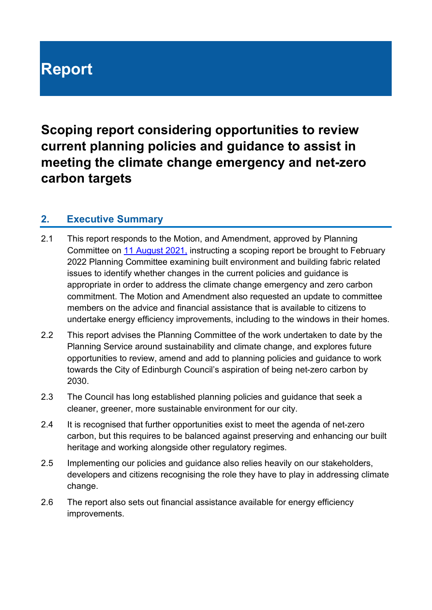# **Report**

**Scoping report considering opportunities to review current planning policies and guidance to assist in meeting the climate change emergency and net-zero carbon targets**

# **2. Executive Summary**

- 2.1 This report responds to the Motion, and Amendment, approved by Planning Committee on [11 August 2021,](https://democracy.edinburgh.gov.uk/ieListDocuments.aspx?CId=147&MId=5657&Ver=4) instructing a scoping report be brought to February 2022 Planning Committee examining built environment and building fabric related issues to identify whether changes in the current policies and guidance is appropriate in order to address the climate change emergency and zero carbon commitment. The Motion and Amendment also requested an update to committee members on the advice and financial assistance that is available to citizens to undertake energy efficiency improvements, including to the windows in their homes.
- 2.2 This report advises the Planning Committee of the work undertaken to date by the Planning Service around sustainability and climate change, and explores future opportunities to review, amend and add to planning policies and guidance to work towards the City of Edinburgh Council's aspiration of being net-zero carbon by 2030.
- 2.3 The Council has long established planning policies and guidance that seek a cleaner, greener, more sustainable environment for our city.
- 2.4 It is recognised that further opportunities exist to meet the agenda of net-zero carbon, but this requires to be balanced against preserving and enhancing our built heritage and working alongside other regulatory regimes.
- 2.5 Implementing our policies and guidance also relies heavily on our stakeholders, developers and citizens recognising the role they have to play in addressing climate change.
- 2.6 The report also sets out financial assistance available for energy efficiency improvements.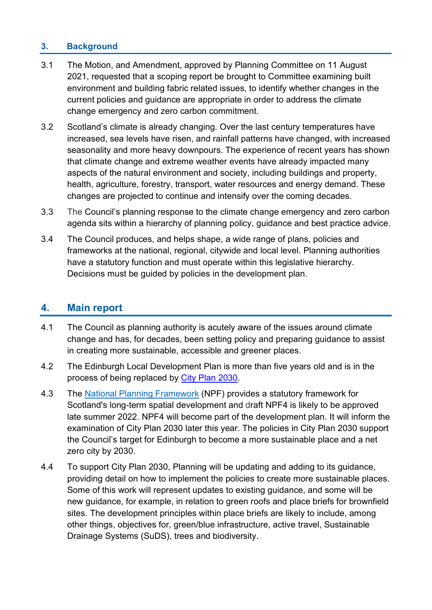# **3. Background**

- 3.1 The Motion, and Amendment, approved by Planning Committee on 11 August 2021, requested that a scoping report be brought to Committee examining built environment and building fabric related issues, to identify whether changes in the current policies and guidance are appropriate in order to address the climate change emergency and zero carbon commitment.
- 3.2 Scotland's climate is already changing. Over the last century temperatures have increased, sea levels have risen, and rainfall patterns have changed, with increased seasonality and more heavy downpours. The experience of recent years has shown that climate change and extreme weather events have already impacted many aspects of the natural environment and society, including buildings and property, health, agriculture, forestry, transport, water resources and energy demand. These changes are projected to continue and intensify over the coming decades.
- 3.3 The Council's planning response to the climate change emergency and zero carbon agenda sits within a hierarchy of planning policy, guidance and best practice advice.
- 3.4 The Council produces, and helps shape, a wide range of plans, policies and frameworks at the national, regional, citywide and local level. Planning authorities have a statutory function and must operate within this legislative hierarchy. Decisions must be guided by policies in the development plan.

# **4. Main report**

- 4.1 The Council as planning authority is acutely aware of the issues around climate change and has, for decades, been setting policy and preparing guidance to assist in creating more sustainable, accessible and greener places.
- 4.2 The Edinburgh Local Development Plan is more than five years old and is in the process of being replaced by [City Plan 2030.](https://www.edinburgh.gov.uk/local-development-plan-guidance-1/city-plan-2030?documentId=12552&categoryId=20305)
- 4.3 The [National Planning Framework](http://www.scotland.gov.uk/Topics/Built-Environment/planning/National-Planning-Framework) (NPF) provides a statutory framework for Scotland's long-term spatial development and draft NPF4 is likely to be approved late summer 2022. NPF4 will become part of the development plan. It will inform the examination of City Plan 2030 later this year. The policies in City Plan 2030 support the Council's target for Edinburgh to become a more sustainable place and a net zero city by 2030.
- 4.4 To support City Plan 2030, Planning will be updating and adding to its guidance, providing detail on how to implement the policies to create more sustainable places. Some of this work will represent updates to existing guidance, and some will be new guidance, for example, in relation to green roofs and place briefs for brownfield sites. The development principles within place briefs are likely to include, among other things, objectives for, green/blue infrastructure, active travel, Sustainable Drainage Systems (SuDS), trees and biodiversity.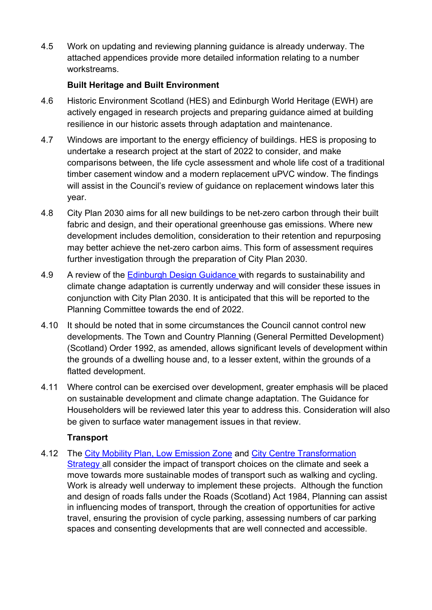4.5 Work on updating and reviewing planning guidance is already underway. The attached appendices provide more detailed information relating to a number workstreams.

# **Built Heritage and Built Environment**

- 4.6 Historic Environment Scotland (HES) and Edinburgh World Heritage (EWH) are actively engaged in research projects and preparing guidance aimed at building resilience in our historic assets through adaptation and maintenance.
- 4.7 Windows are important to the energy efficiency of buildings. HES is proposing to undertake a research project at the start of 2022 to consider, and make comparisons between, the life cycle assessment and whole life cost of a traditional timber casement window and a modern replacement uPVC window. The findings will assist in the Council's review of guidance on replacement windows later this year.
- 4.8 City Plan 2030 aims for all new buildings to be net-zero carbon through their built fabric and design, and their operational greenhouse gas emissions. Where new development includes demolition, consideration to their retention and repurposing may better achieve the net-zero carbon aims. This form of assessment requires further investigation through the preparation of City Plan 2030.
- 4.9 A review of the [Edinburgh Design Guidance w](https://www.edinburgh.gov.uk/downloads/file/27602/edinburgh-design-guidance-january-2020)ith regards to sustainability and climate change adaptation is currently underway and will consider these issues in conjunction with City Plan 2030. It is anticipated that this will be reported to the Planning Committee towards the end of 2022.
- 4.10 It should be noted that in some circumstances the Council cannot control new developments. The Town and Country Planning (General Permitted Development) (Scotland) Order 1992, as amended, allows significant levels of development within the grounds of a dwelling house and, to a lesser extent, within the grounds of a flatted development.
- 4.11 Where control can be exercised over development, greater emphasis will be placed on sustainable development and climate change adaptation. The Guidance for Householders will be reviewed later this year to address this. Consideration will also be given to surface water management issues in that review.

# **Transport**

4.12 The [City Mobility Plan,](https://www.edinburgh.gov.uk/city-mobility-plan-1) [Low Emission Zone](https://www.edinburgh.gov.uk/lowemissionzone) and [City Centre Transformation](https://www.edinburgh.gov.uk/roads-travel-parking/city-centre-transformation)  [Strategy](https://www.edinburgh.gov.uk/roads-travel-parking/city-centre-transformation) all consider the impact of transport choices on the climate and seek a move towards more sustainable modes of transport such as walking and cycling. Work is already well underway to implement these projects. Although the function and design of roads falls under the Roads (Scotland) Act 1984, Planning can assist in influencing modes of transport, through the creation of opportunities for active travel, ensuring the provision of cycle parking, assessing numbers of car parking spaces and consenting developments that are well connected and accessible.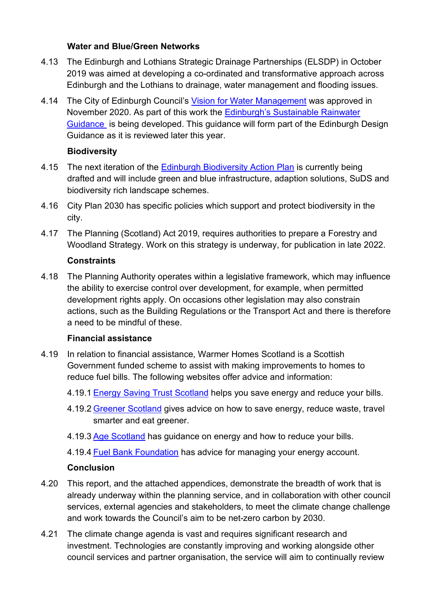#### **Water and Blue/Green Networks**

- 4.13 The Edinburgh and Lothians Strategic Drainage Partnerships (ELSDP) in October 2019 was aimed at developing a co-ordinated and transformative approach across Edinburgh and the Lothians to drainage, water management and flooding issues.
- 4.14 The City of Edinburgh Council's [Vision for Water Management](https://www.edinburgh.gov.uk/downloads/file/30101/vision-for-water-management-in-the-city-of-edinburgh) was approved in November 2020. As part of this work the [Edinburgh's Sustainable Rainwater](https://www.edinburgh.gov.uk/downloads/download/14933/vision-for-water-management-in-the-city-of-edinburgh)  [Guidance](https://www.edinburgh.gov.uk/downloads/download/14933/vision-for-water-management-in-the-city-of-edinburgh) is being developed. This guidance will form part of the Edinburgh Design Guidance as it is reviewed later this year.

## **Biodiversity**

- 4.15 The next iteration of the [Edinburgh Biodiversity Action Plan](https://www.edinburgh.gov.uk/downloads/file/26216/edinburgh-biodiversity-action-plan-2019-2021) is currently being drafted and will include green and blue infrastructure, adaption solutions, SuDS and biodiversity rich landscape schemes.
- 4.16 City Plan 2030 has specific policies which support and protect biodiversity in the city.
- 4.17 The Planning (Scotland) Act 2019, requires authorities to prepare a Forestry and Woodland Strategy. Work on this strategy is underway, for publication in late 2022.

## **Constraints**

4.18 The Planning Authority operates within a legislative framework, which may influence the ability to exercise control over development, for example, when permitted development rights apply. On occasions other legislation may also constrain actions, such as the Building Regulations or the Transport Act and there is therefore a need to be mindful of these.

## **Financial assistance**

- 4.19 In relation to financial assistance, Warmer Homes Scotland is a Scottish Government funded scheme to assist with making improvements to homes to reduce fuel bills. The following websites offer advice and information:
	- 4.19.1 [Energy Saving Trust Scotland](http://www.energysavingtrust.org.uk/scotland) helps you save energy and reduce your bills.
	- 4.19.2 [Greener Scotland](http://www.greenerscotland.org/) gives advice on how to save energy, reduce waste, travel smarter and eat greener.
	- 4.19.3 [Age Scotland](http://www.ageuk.org.uk/scotland/money-matters/energy/) has guidance on energy and how to reduce your bills.
	- 4.19.4 [Fuel Bank Foundation](https://www.fuelbankfoundation.org/individuals/) has advice for managing your energy account.

## **Conclusion**

- 4.20 This report, and the attached appendices, demonstrate the breadth of work that is already underway within the planning service, and in collaboration with other council services, external agencies and stakeholders, to meet the climate change challenge and work towards the Council's aim to be net-zero carbon by 2030.
- 4.21 The climate change agenda is vast and requires significant research and investment. Technologies are constantly improving and working alongside other council services and partner organisation, the service will aim to continually review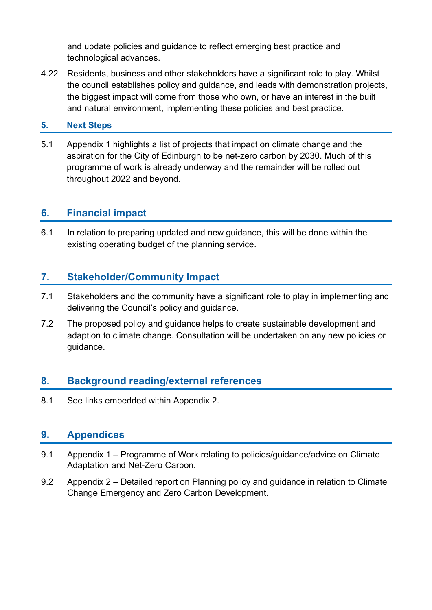and update policies and guidance to reflect emerging best practice and technological advances.

4.22 Residents, business and other stakeholders have a significant role to play. Whilst the council establishes policy and guidance, and leads with demonstration projects, the biggest impact will come from those who own, or have an interest in the built and natural environment, implementing these policies and best practice.

## **5. Next Steps**

5.1 Appendix 1 highlights a list of projects that impact on climate change and the aspiration for the City of Edinburgh to be net-zero carbon by 2030. Much of this programme of work is already underway and the remainder will be rolled out throughout 2022 and beyond.

# **6. Financial impact**

6.1 In relation to preparing updated and new guidance, this will be done within the existing operating budget of the planning service.

# **7. Stakeholder/Community Impact**

- 7.1 Stakeholders and the community have a significant role to play in implementing and delivering the Council's policy and guidance.
- 7.2 The proposed policy and guidance helps to create sustainable development and adaption to climate change. Consultation will be undertaken on any new policies or guidance.

# **8. Background reading/external references**

8.1 See links embedded within Appendix 2.

# **9. Appendices**

- 9.1 Appendix 1 Programme of Work relating to policies/guidance/advice on Climate Adaptation and Net-Zero Carbon.
- 9.2 Appendix 2 Detailed report on Planning policy and guidance in relation to Climate Change Emergency and Zero Carbon Development.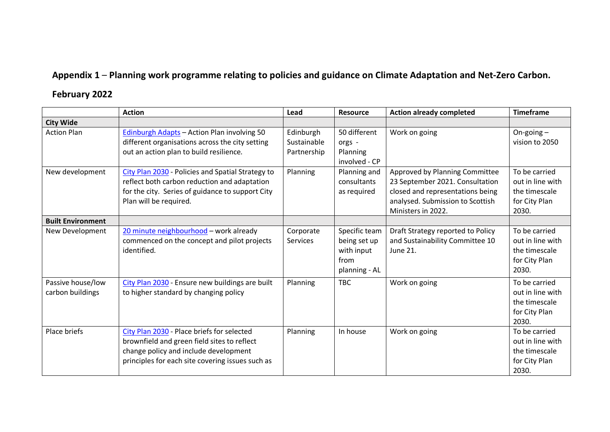# **Appendix 1** – **Planning work programme relating to policies and guidance on Climate Adaptation and Net-Zero Carbon.**

# **February 2022**

|                                       | <b>Action</b>                                                                                                                                                                          | Lead                                    | <b>Resource</b>                                                      | <b>Action already completed</b>                                                                                                                                 | <b>Timeframe</b>                                                             |
|---------------------------------------|----------------------------------------------------------------------------------------------------------------------------------------------------------------------------------------|-----------------------------------------|----------------------------------------------------------------------|-----------------------------------------------------------------------------------------------------------------------------------------------------------------|------------------------------------------------------------------------------|
| <b>City Wide</b>                      |                                                                                                                                                                                        |                                         |                                                                      |                                                                                                                                                                 |                                                                              |
| <b>Action Plan</b>                    | Edinburgh Adapts - Action Plan involving 50<br>different organisations across the city setting<br>out an action plan to build resilience.                                              | Edinburgh<br>Sustainable<br>Partnership | 50 different<br>orgs -<br>Planning<br>involved - CP                  | Work on going                                                                                                                                                   | On-going $-$<br>vision to 2050                                               |
| New development                       | City Plan 2030 - Policies and Spatial Strategy to<br>reflect both carbon reduction and adaptation<br>for the city. Series of guidance to support City<br>Plan will be required.        | Planning                                | Planning and<br>consultants<br>as required                           | Approved by Planning Committee<br>23 September 2021. Consultation<br>closed and representations being<br>analysed. Submission to Scottish<br>Ministers in 2022. | To be carried<br>out in line with<br>the timescale<br>for City Plan<br>2030. |
| <b>Built Environment</b>              |                                                                                                                                                                                        |                                         |                                                                      |                                                                                                                                                                 |                                                                              |
| New Development                       | 20 minute neighbourhood - work already<br>commenced on the concept and pilot projects<br>identified.                                                                                   | Corporate<br><b>Services</b>            | Specific team<br>being set up<br>with input<br>from<br>planning - AL | Draft Strategy reported to Policy<br>and Sustainability Committee 10<br>June 21.                                                                                | To be carried<br>out in line with<br>the timescale<br>for City Plan<br>2030. |
| Passive house/low<br>carbon buildings | City Plan 2030 - Ensure new buildings are built<br>to higher standard by changing policy                                                                                               | Planning                                | <b>TBC</b>                                                           | Work on going                                                                                                                                                   | To be carried<br>out in line with<br>the timescale<br>for City Plan<br>2030. |
| Place briefs                          | City Plan 2030 - Place briefs for selected<br>brownfield and green field sites to reflect<br>change policy and include development<br>principles for each site covering issues such as | Planning                                | In house                                                             | Work on going                                                                                                                                                   | To be carried<br>out in line with<br>the timescale<br>for City Plan<br>2030. |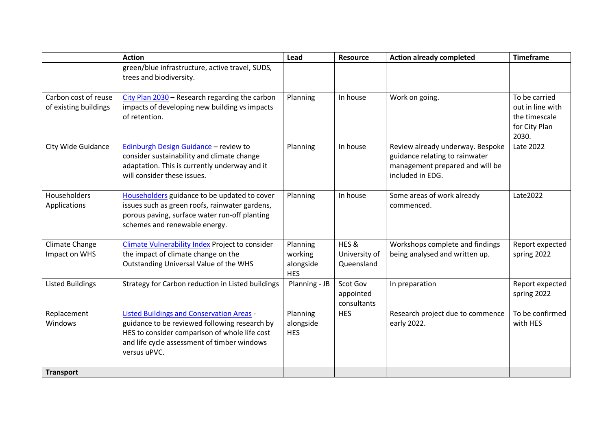|                                               | <b>Action</b>                                                                                                                                                                                                     | Lead                                           | Resource                             | <b>Action already completed</b>                                                                                           | <b>Timeframe</b>                                                             |
|-----------------------------------------------|-------------------------------------------------------------------------------------------------------------------------------------------------------------------------------------------------------------------|------------------------------------------------|--------------------------------------|---------------------------------------------------------------------------------------------------------------------------|------------------------------------------------------------------------------|
|                                               | green/blue infrastructure, active travel, SUDS,<br>trees and biodiversity.                                                                                                                                        |                                                |                                      |                                                                                                                           |                                                                              |
| Carbon cost of reuse<br>of existing buildings | City Plan 2030 - Research regarding the carbon<br>impacts of developing new building vs impacts<br>of retention.                                                                                                  | Planning                                       | In house                             | Work on going.                                                                                                            | To be carried<br>out in line with<br>the timescale<br>for City Plan<br>2030. |
| <b>City Wide Guidance</b>                     | <b>Edinburgh Design Guidance - review to</b><br>consider sustainability and climate change<br>adaptation. This is currently underway and it<br>will consider these issues.                                        | Planning                                       | In house                             | Review already underway. Bespoke<br>guidance relating to rainwater<br>management prepared and will be<br>included in EDG. | Late 2022                                                                    |
| Householders<br>Applications                  | Householders guidance to be updated to cover<br>issues such as green roofs, rainwater gardens,<br>porous paving, surface water run-off planting<br>schemes and renewable energy.                                  | Planning                                       | In house                             | Some areas of work already<br>commenced.                                                                                  | Late2022                                                                     |
| Climate Change<br>Impact on WHS               | <b>Climate Vulnerability Index Project to consider</b><br>the impact of climate change on the<br>Outstanding Universal Value of the WHS                                                                           | Planning<br>working<br>alongside<br><b>HES</b> | HES&<br>University of<br>Queensland  | Workshops complete and findings<br>being analysed and written up.                                                         | Report expected<br>spring 2022                                               |
| <b>Listed Buildings</b>                       | Strategy for Carbon reduction in Listed buildings                                                                                                                                                                 | Planning - JB                                  | Scot Gov<br>appointed<br>consultants | In preparation                                                                                                            | Report expected<br>spring 2022                                               |
| Replacement<br>Windows                        | <b>Listed Buildings and Conservation Areas -</b><br>guidance to be reviewed following research by<br>HES to consider comparison of whole life cost<br>and life cycle assessment of timber windows<br>versus uPVC. | Planning<br>alongside<br><b>HES</b>            | <b>HES</b>                           | Research project due to commence<br>early 2022.                                                                           | To be confirmed<br>with HES                                                  |
| <b>Transport</b>                              |                                                                                                                                                                                                                   |                                                |                                      |                                                                                                                           |                                                                              |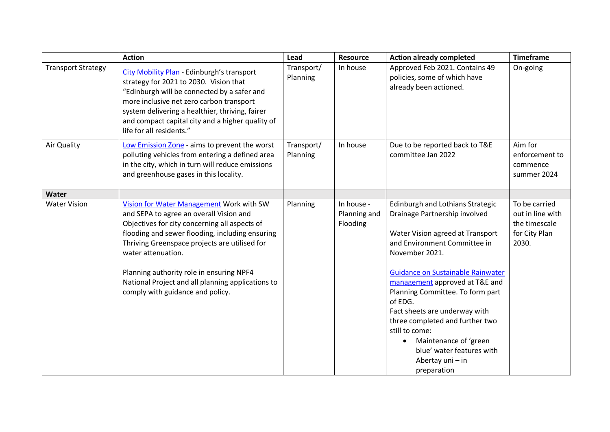|                           | <b>Action</b>                                                                                                                                                                                                                                                                                                                                                                                       | Lead                   | Resource                               | <b>Action already completed</b>                                                                                                                                                                                                                                                                                                                                                                                                                                           | <b>Timeframe</b>                                                             |
|---------------------------|-----------------------------------------------------------------------------------------------------------------------------------------------------------------------------------------------------------------------------------------------------------------------------------------------------------------------------------------------------------------------------------------------------|------------------------|----------------------------------------|---------------------------------------------------------------------------------------------------------------------------------------------------------------------------------------------------------------------------------------------------------------------------------------------------------------------------------------------------------------------------------------------------------------------------------------------------------------------------|------------------------------------------------------------------------------|
| <b>Transport Strategy</b> | <b>City Mobility Plan - Edinburgh's transport</b><br>strategy for 2021 to 2030. Vision that<br>"Edinburgh will be connected by a safer and<br>more inclusive net zero carbon transport<br>system delivering a healthier, thriving, fairer<br>and compact capital city and a higher quality of<br>life for all residents."                                                                           | Transport/<br>Planning | In house                               | Approved Feb 2021. Contains 49<br>policies, some of which have<br>already been actioned.                                                                                                                                                                                                                                                                                                                                                                                  | On-going                                                                     |
| Air Quality               | Low Emission Zone - aims to prevent the worst<br>polluting vehicles from entering a defined area<br>in the city, which in turn will reduce emissions<br>and greenhouse gases in this locality.                                                                                                                                                                                                      | Transport/<br>Planning | In house                               | Due to be reported back to T&E<br>committee Jan 2022                                                                                                                                                                                                                                                                                                                                                                                                                      | Aim for<br>enforcement to<br>commence<br>summer 2024                         |
| Water                     |                                                                                                                                                                                                                                                                                                                                                                                                     |                        |                                        |                                                                                                                                                                                                                                                                                                                                                                                                                                                                           |                                                                              |
| <b>Water Vision</b>       | Vision for Water Management Work with SW<br>and SEPA to agree an overall Vision and<br>Objectives for city concerning all aspects of<br>flooding and sewer flooding, including ensuring<br>Thriving Greenspace projects are utilised for<br>water attenuation.<br>Planning authority role in ensuring NPF4<br>National Project and all planning applications to<br>comply with guidance and policy. | Planning               | In house -<br>Planning and<br>Flooding | Edinburgh and Lothians Strategic<br>Drainage Partnership involved<br>Water Vision agreed at Transport<br>and Environment Committee in<br>November 2021.<br>Guidance on Sustainable Rainwater<br>management approved at T&E and<br>Planning Committee. To form part<br>of EDG.<br>Fact sheets are underway with<br>three completed and further two<br>still to come:<br>Maintenance of 'green<br>$\bullet$<br>blue' water features with<br>Abertay uni - in<br>preparation | To be carried<br>out in line with<br>the timescale<br>for City Plan<br>2030. |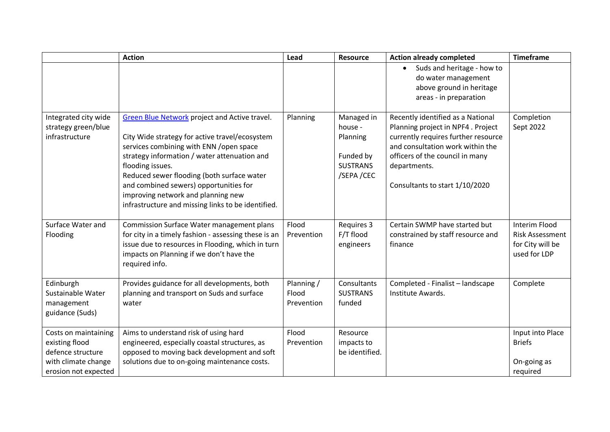|                                                                                                            | <b>Action</b>                                                                                                                                                                                                                                                                                                                                                                                             | Lead                              | <b>Resource</b>                                                                 | <b>Action already completed</b>                                                                                                                                                                                                        | <b>Timeframe</b>                                                            |
|------------------------------------------------------------------------------------------------------------|-----------------------------------------------------------------------------------------------------------------------------------------------------------------------------------------------------------------------------------------------------------------------------------------------------------------------------------------------------------------------------------------------------------|-----------------------------------|---------------------------------------------------------------------------------|----------------------------------------------------------------------------------------------------------------------------------------------------------------------------------------------------------------------------------------|-----------------------------------------------------------------------------|
|                                                                                                            |                                                                                                                                                                                                                                                                                                                                                                                                           |                                   |                                                                                 | Suds and heritage - how to<br>$\bullet$<br>do water management<br>above ground in heritage<br>areas - in preparation                                                                                                                   |                                                                             |
| Integrated city wide<br>strategy green/blue<br>infrastructure                                              | <b>Green Blue Network project and Active travel.</b><br>City Wide strategy for active travel/ecosystem<br>services combining with ENN /open space<br>strategy information / water attenuation and<br>flooding issues.<br>Reduced sewer flooding (both surface water<br>and combined sewers) opportunities for<br>improving network and planning new<br>infrastructure and missing links to be identified. | Planning                          | Managed in<br>house -<br>Planning<br>Funded by<br><b>SUSTRANS</b><br>/SEPA /CEC | Recently identified as a National<br>Planning project in NPF4. Project<br>currently requires further resource<br>and consultation work within the<br>officers of the council in many<br>departments.<br>Consultants to start 1/10/2020 | Completion<br>Sept 2022                                                     |
| Surface Water and<br>Flooding                                                                              | Commission Surface Water management plans<br>for city in a timely fashion - assessing these is an<br>issue due to resources in Flooding, which in turn<br>impacts on Planning if we don't have the<br>required info.                                                                                                                                                                                      | Flood<br>Prevention               | Requires 3<br>F/T flood<br>engineers                                            | Certain SWMP have started but<br>constrained by staff resource and<br>finance                                                                                                                                                          | Interim Flood<br><b>Risk Assessment</b><br>for City will be<br>used for LDP |
| Edinburgh<br>Sustainable Water<br>management<br>guidance (Suds)                                            | Provides guidance for all developments, both<br>planning and transport on Suds and surface<br>water                                                                                                                                                                                                                                                                                                       | Planning /<br>Flood<br>Prevention | Consultants<br><b>SUSTRANS</b><br>funded                                        | Completed - Finalist - landscape<br>Institute Awards.                                                                                                                                                                                  | Complete                                                                    |
| Costs on maintaining<br>existing flood<br>defence structure<br>with climate change<br>erosion not expected | Aims to understand risk of using hard<br>engineered, especially coastal structures, as<br>opposed to moving back development and soft<br>solutions due to on-going maintenance costs.                                                                                                                                                                                                                     | Flood<br>Prevention               | Resource<br>impacts to<br>be identified.                                        |                                                                                                                                                                                                                                        | Input into Place<br><b>Briefs</b><br>On-going as<br>required                |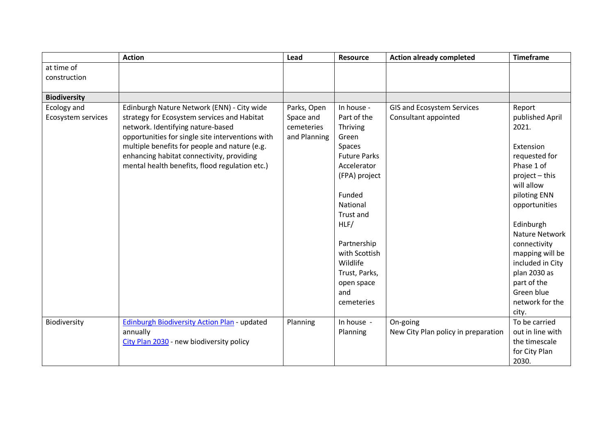|                     | <b>Action</b>                                       | Lead         | <b>Resource</b>     | <b>Action already completed</b>     | <b>Timeframe</b> |
|---------------------|-----------------------------------------------------|--------------|---------------------|-------------------------------------|------------------|
| at time of          |                                                     |              |                     |                                     |                  |
| construction        |                                                     |              |                     |                                     |                  |
|                     |                                                     |              |                     |                                     |                  |
| <b>Biodiversity</b> |                                                     |              |                     |                                     |                  |
| Ecology and         | Edinburgh Nature Network (ENN) - City wide          | Parks, Open  | In house -          | GIS and Ecosystem Services          | Report           |
| Ecosystem services  | strategy for Ecosystem services and Habitat         | Space and    | Part of the         | Consultant appointed                | published April  |
|                     | network. Identifying nature-based                   | cemeteries   | Thriving            |                                     | 2021.            |
|                     | opportunities for single site interventions with    | and Planning | Green               |                                     |                  |
|                     | multiple benefits for people and nature (e.g.       |              | Spaces              |                                     | Extension        |
|                     | enhancing habitat connectivity, providing           |              | <b>Future Parks</b> |                                     | requested for    |
|                     | mental health benefits, flood regulation etc.)      |              | Accelerator         |                                     | Phase 1 of       |
|                     |                                                     |              | (FPA) project       |                                     | $project - this$ |
|                     |                                                     |              |                     |                                     | will allow       |
|                     |                                                     |              | Funded              |                                     | piloting ENN     |
|                     |                                                     |              | National            |                                     | opportunities    |
|                     |                                                     |              | <b>Trust and</b>    |                                     |                  |
|                     |                                                     |              | HLF/                |                                     | Edinburgh        |
|                     |                                                     |              |                     |                                     | Nature Network   |
|                     |                                                     |              | Partnership         |                                     | connectivity     |
|                     |                                                     |              | with Scottish       |                                     | mapping will be  |
|                     |                                                     |              | Wildlife            |                                     | included in City |
|                     |                                                     |              | Trust, Parks,       |                                     | plan 2030 as     |
|                     |                                                     |              | open space          |                                     | part of the      |
|                     |                                                     |              | and                 |                                     | Green blue       |
|                     |                                                     |              | cemeteries          |                                     | network for the  |
|                     |                                                     |              |                     |                                     | city.            |
| Biodiversity        | <b>Edinburgh Biodiversity Action Plan - updated</b> | Planning     | In house -          | On-going                            | To be carried    |
|                     | annually                                            |              | Planning            | New City Plan policy in preparation | out in line with |
|                     | City Plan 2030 - new biodiversity policy            |              |                     |                                     | the timescale    |
|                     |                                                     |              |                     |                                     | for City Plan    |
|                     |                                                     |              |                     |                                     | 2030.            |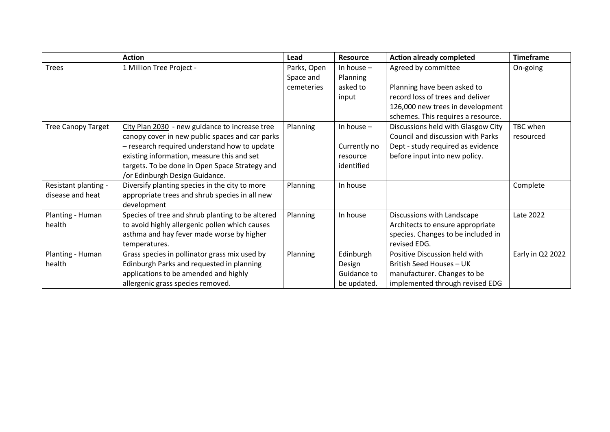|                           | <b>Action</b>                                    | Lead        | <b>Resource</b> | <b>Action already completed</b>    | <b>Timeframe</b> |
|---------------------------|--------------------------------------------------|-------------|-----------------|------------------------------------|------------------|
| <b>Trees</b>              | 1 Million Tree Project -                         | Parks, Open | In house $-$    | Agreed by committee                | On-going         |
|                           |                                                  | Space and   | Planning        |                                    |                  |
|                           |                                                  | cemeteries  | asked to        | Planning have been asked to        |                  |
|                           |                                                  |             | input           | record loss of trees and deliver   |                  |
|                           |                                                  |             |                 | 126,000 new trees in development   |                  |
|                           |                                                  |             |                 | schemes. This requires a resource. |                  |
| <b>Tree Canopy Target</b> | City Plan 2030 - new guidance to increase tree   | Planning    | In house $-$    | Discussions held with Glasgow City | TBC when         |
|                           | canopy cover in new public spaces and car parks  |             |                 | Council and discussion with Parks  | resourced        |
|                           | - research required understand how to update     |             | Currently no    | Dept - study required as evidence  |                  |
|                           | existing information, measure this and set       |             | resource        | before input into new policy.      |                  |
|                           | targets. To be done in Open Space Strategy and   |             | identified      |                                    |                  |
|                           | /or Edinburgh Design Guidance.                   |             |                 |                                    |                  |
| Resistant planting -      | Diversify planting species in the city to more   | Planning    | In house        |                                    | Complete         |
| disease and heat          | appropriate trees and shrub species in all new   |             |                 |                                    |                  |
|                           | development                                      |             |                 |                                    |                  |
| Planting - Human          | Species of tree and shrub planting to be altered | Planning    | In house        | Discussions with Landscape         | Late 2022        |
| health                    | to avoid highly allergenic pollen which causes   |             |                 | Architects to ensure appropriate   |                  |
|                           | asthma and hay fever made worse by higher        |             |                 | species. Changes to be included in |                  |
|                           | temperatures.                                    |             |                 | revised EDG.                       |                  |
| Planting - Human          | Grass species in pollinator grass mix used by    | Planning    | Edinburgh       | Positive Discussion held with      | Early in Q2 2022 |
| health                    | Edinburgh Parks and requested in planning        |             | Design          | British Seed Houses - UK           |                  |
|                           | applications to be amended and highly            |             | Guidance to     | manufacturer. Changes to be        |                  |
|                           | allergenic grass species removed.                |             | be updated.     | implemented through revised EDG    |                  |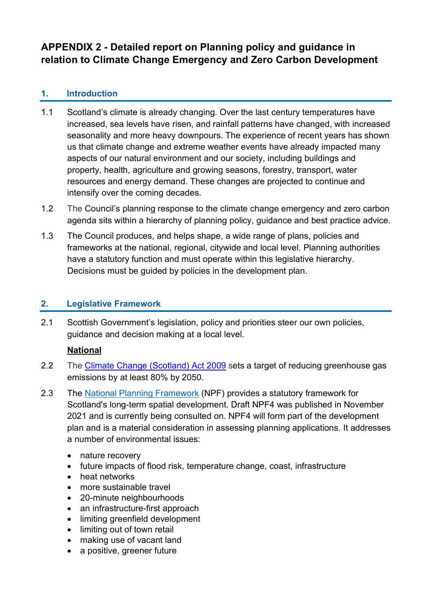# **APPENDIX 2 - Detailed report on Planning policy and guidance in relation to Climate Change Emergency and Zero Carbon Development**

# **1. Introduction**

- 1.1 Scotland's climate is already changing. Over the last century temperatures have increased, sea levels have risen, and rainfall patterns have changed, with increased seasonality and more heavy downpours. The experience of recent years has shown us that climate change and extreme weather events have already impacted many aspects of our natural environment and our society, including buildings and property, health, agriculture and growing seasons, forestry, transport, water resources and energy demand. These changes are projected to continue and intensify over the coming decades.
- 1.2 The Council's planning response to the climate change emergency and zero carbon agenda sits within a hierarchy of planning policy, guidance and best practice advice.
- 1.3 The Council produces, and helps shape, a wide range of plans, policies and frameworks at the national, regional, citywide and local level. Planning authorities have a statutory function and must operate within this legislative hierarchy. Decisions must be guided by policies in the development plan.

# **2. Legislative Framework**

2.1 Scottish Government's legislation, policy and priorities steer our own policies, guidance and decision making at a local level.

# **National**

- 2.2 The [Climate Change \(Scotland\) Act 2009](https://www.legislation.gov.uk/asp/2009/12/contents) sets a target of reducing greenhouse gas emissions by at least 80% by 2050.
- 2.3 The [National Planning Framework](http://www.scotland.gov.uk/Topics/Built-Environment/planning/National-Planning-Framework) (NPF) provides a statutory framework for Scotland's long-term spatial development. Draft NPF4 was published in November 2021 and is currently being consulted on. NPF4 will form part of the development plan and is a material consideration in assessing planning applications. It addresses a number of environmental issues:
	- nature recovery
	- future impacts of flood risk, temperature change, coast, infrastructure
	- heat networks
	- more sustainable travel
	- 20-minute neighbourhoods
	- an infrastructure-first approach
	- limiting greenfield development
	- limiting out of town retail
	- making use of vacant land
	- a positive, greener future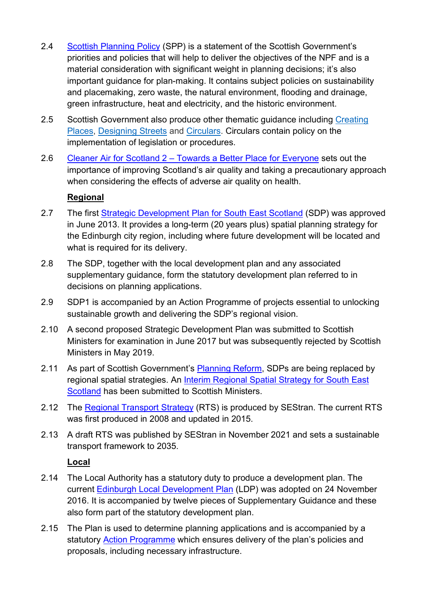- 2.4 [Scottish Planning Policy](https://www.gov.scot/publications/scottish-planning-policy/) (SPP) is a statement of the Scottish Government's priorities and policies that will help to deliver the objectives of the NPF and is a material consideration with significant weight in planning decisions; it's also important guidance for plan-making. It contains subject policies on sustainability and placemaking, zero waste, the natural environment, flooding and drainage, green infrastructure, heat and electricity, and the historic environment.
- 2.5 Scottish Government also produce other thematic guidance including [Creating](http://www.scotland.gov.uk/Publications/2013/06/9811/0)  [Places,](http://www.scotland.gov.uk/Publications/2013/06/9811/0) [Designing Streets](http://www.scotland.gov.uk/Publications/2010/03/22120652/0) and [Circulars.](http://www.scotland.gov.uk/Topics/Built-Environment/planning/publications/circulars) Circulars contain policy on the implementation of legislation or procedures.
- 2.6 Cleaner Air for Scotland 2 [Towards a Better Place for Everyone](https://www.gov.scot/publications/cleaner-air-scotland-2-towards-better-place-everyone/) sets out the importance of improving Scotland's air quality and taking a precautionary approach when considering the effects of adverse air quality on health.

# **Regional**

- 2.7 The first Strategic Development Plan for South East Scotland (SDP) was approved in June 2013. It provides a long-term (20 years plus) spatial planning strategy for the Edinburgh city region, including where future development will be located and what is required for its delivery.
- 2.8 The SDP, together with the local development plan and any associated supplementary guidance, form the statutory development plan referred to in decisions on planning applications.
- 2.9 SDP1 is accompanied by an Action Programme of projects essential to unlocking sustainable growth and delivering the SDP's regional vision.
- 2.10 A second proposed Strategic Development Plan was submitted to Scottish Ministers for examination in June 2017 but was subsequently rejected by Scottish Ministers in May 2019.
- 2.11 As part of Scottish Government's [Planning Reform,](https://www.transformingplanning.scot/planning-reform/) SDPs are being replaced by regional spatial strategies. An [Interim Regional Spatial Strategy for South East](https://static1.squarespace.com/static/55c87967e4b05aa55020f656/t/61781f2dd470762081f93d46/1635262261473/iRSS+final+.pdf)  [Scotland](https://static1.squarespace.com/static/55c87967e4b05aa55020f656/t/61781f2dd470762081f93d46/1635262261473/iRSS+final+.pdf) has been submitted to Scottish Ministers.
- 2.12 The [Regional Transport Strategy](https://www.sestran.gov.uk/wp-content/uploads/2017/01/Regional-Transport-Strategy.pdf) (RTS) is produced by SEStran. The current RTS was first produced in 2008 and updated in 2015.
- 2.13 A draft RTS was published by SEStran in November 2021 and sets a sustainable transport framework to 2035.

## **Local**

- 2.14 The Local Authority has a statutory duty to produce a development plan. The current [Edinburgh Local Development Plan](https://www.edinburgh.gov.uk/localdevelopmentplan) (LDP) was adopted on 24 November 2016. It is accompanied by twelve pieces of Supplementary Guidance and these also form part of the statutory development plan.
- 2.15 The Plan is used to determine planning applications and is accompanied by a statutory [Action Programme](https://www.edinburgh.gov.uk/actionprogramme) which ensures delivery of the plan's policies and proposals, including necessary infrastructure.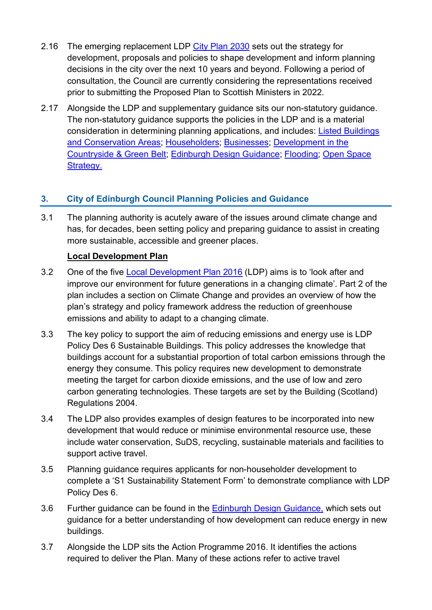- 2.16 The emerging replacement LDP [City Plan 2030](https://www.edinburgh.gov.uk/local-development-plan-guidance-1/city-plan-2030?documentId=12552&categoryId=20305) sets out the strategy for development, proposals and policies to shape development and inform planning decisions in the city over the next 10 years and beyond. Following a period of consultation, the Council are currently considering the representations received prior to submitting the Proposed Plan to Scottish Ministers in 2022.
- 2.17 Alongside the LDP and supplementary guidance sits our non-statutory guidance. The non-statutory guidance supports the policies in the LDP and is a material consideration in determining planning applications, and includes: [Listed Buildings](https://www.edinburgh.gov.uk/downloads/file/27028/listed-building-and-conservation-areas)  [and Conservation Areas;](https://www.edinburgh.gov.uk/downloads/file/27028/listed-building-and-conservation-areas) [Householders;](https://www.edinburgh.gov.uk/downloads/file/27026/for-householders) [Businesses;](https://www.edinburgh.gov.uk/downloads/file/27027/for-businesses) [Development in the](https://www.edinburgh.gov.uk/downloads/file/24491/guidelines-on-development-in-the-countryside-and-green-belt)  [Countryside & Green Belt;](https://www.edinburgh.gov.uk/downloads/file/24491/guidelines-on-development-in-the-countryside-and-green-belt) [Edinburgh Design Guidance;](https://www.edinburgh.gov.uk/local-development-plan-guidance-1/edinburgh-design-guidance/1) [Flooding;](https://www.edinburgh.gov.uk/flooding/planning-application-guidance-flooding) [Open Space](https://www.edinburgh.gov.uk/park-management-rules/open-space-strategy/1)  [Strategy.](https://www.edinburgh.gov.uk/park-management-rules/open-space-strategy/1)

# **3. City of Edinburgh Council Planning Policies and Guidance**

3.1 The planning authority is acutely aware of the issues around climate change and has, for decades, been setting policy and preparing guidance to assist in creating more sustainable, accessible and greener places.

# **Local Development Plan**

- 3.2 One of the five [Local Development Plan 2016](https://www.edinburgh.gov.uk/localdevelopmentplan) (LDP) aims is to 'look after and improve our environment for future generations in a changing climate'. Part 2 of the plan includes a section on Climate Change and provides an overview of how the plan's strategy and policy framework address the reduction of greenhouse emissions and ability to adapt to a changing climate.
- 3.3 The key policy to support the aim of reducing emissions and energy use is LDP Policy Des 6 Sustainable Buildings. This policy addresses the knowledge that buildings account for a substantial proportion of total carbon emissions through the energy they consume. This policy requires new development to demonstrate meeting the target for carbon dioxide emissions, and the use of low and zero carbon generating technologies. These targets are set by the Building (Scotland) Regulations 2004.
- 3.4 The LDP also provides examples of design features to be incorporated into new development that would reduce or minimise environmental resource use, these include water conservation, SuDS, recycling, sustainable materials and facilities to support active travel.
- 3.5 Planning guidance requires applicants for non-householder development to complete a 'S1 Sustainability Statement Form' to demonstrate compliance with LDP Policy Des 6.
- 3.6 Further guidance can be found in the [Edinburgh Design Guidance,](https://www.edinburgh.gov.uk/downloads/file/27602/edinburgh-design-guidance-january-2020) which sets out guidance for a better understanding of how development can reduce energy in new buildings.
- 3.7 Alongside the LDP sits the Action Programme 2016. It identifies the actions required to deliver the Plan. Many of these actions refer to active travel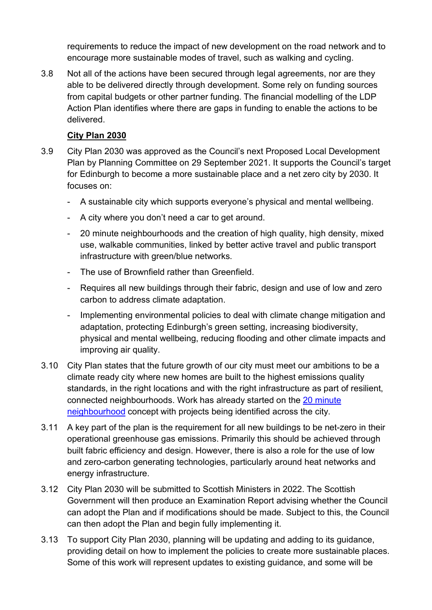requirements to reduce the impact of new development on the road network and to encourage more sustainable modes of travel, such as walking and cycling.

3.8 Not all of the actions have been secured through legal agreements, nor are they able to be delivered directly through development. Some rely on funding sources from capital budgets or other partner funding. The financial modelling of the LDP Action Plan identifies where there are gaps in funding to enable the actions to be delivered.

## **City Plan 2030**

- 3.9 City Plan 2030 was approved as the Council's next Proposed Local Development Plan by Planning Committee on 29 September 2021. It supports the Council's target for Edinburgh to become a more sustainable place and a net zero city by 2030. It focuses on:
	- A sustainable city which supports everyone's physical and mental wellbeing.
	- A city where you don't need a car to get around.
	- 20 minute neighbourhoods and the creation of high quality, high density, mixed use, walkable communities, linked by better active travel and public transport infrastructure with green/blue networks.
	- The use of Brownfield rather than Greenfield.
	- Requires all new buildings through their fabric, design and use of low and zero carbon to address climate adaptation.
	- Implementing environmental policies to deal with climate change mitigation and adaptation, protecting Edinburgh's green setting, increasing biodiversity, physical and mental wellbeing, reducing flooding and other climate impacts and improving air quality.
- 3.10 City Plan states that the future growth of our city must meet our ambitions to be a climate ready city where new homes are built to the highest emissions quality standards, in the right locations and with the right infrastructure as part of resilient, connected neighbourhoods. Work has already started on the [20 minute](https://democracy.edinburgh.gov.uk/documents/s34667/Item%207.10%20-%2020-Minute%20Neighbourhood%20Strategy%20-%20Living%20Well%20Locally.pdf)  [neighbourhood](https://democracy.edinburgh.gov.uk/documents/s34667/Item%207.10%20-%2020-Minute%20Neighbourhood%20Strategy%20-%20Living%20Well%20Locally.pdf) concept with projects being identified across the city.
- 3.11 A key part of the plan is the requirement for all new buildings to be net-zero in their operational greenhouse gas emissions. Primarily this should be achieved through built fabric efficiency and design. However, there is also a role for the use of low and zero-carbon generating technologies, particularly around heat networks and energy infrastructure.
- 3.12 City Plan 2030 will be submitted to Scottish Ministers in 2022. The Scottish Government will then produce an Examination Report advising whether the Council can adopt the Plan and if modifications should be made. Subject to this, the Council can then adopt the Plan and begin fully implementing it.
- 3.13 To support City Plan 2030, planning will be updating and adding to its guidance, providing detail on how to implement the policies to create more sustainable places. Some of this work will represent updates to existing guidance, and some will be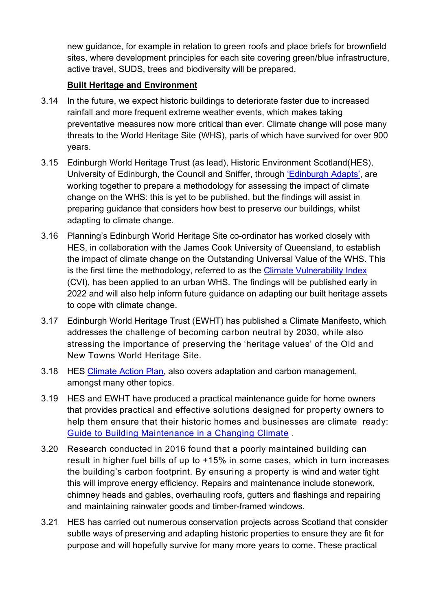new guidance, for example in relation to green roofs and place briefs for brownfield sites, where development principles for each site covering green/blue infrastructure, active travel, SUDS, trees and biodiversity will be prepared.

# **Built Heritage and Environment**

- 3.14 In the future, we expect historic buildings to deteriorate faster due to increased rainfall and more frequent extreme weather events, which makes taking preventative measures now more critical than ever. Climate change will pose many threats to the World Heritage Site (WHS), parts of which have survived for over 900 years.
- 3.15 Edinburgh World Heritage Trust (as lead), Historic Environment Scotland(HES), University of Edinburgh, the Council and Sniffer, through ['Edinburgh Adapts',](https://www.edinburgh.gov.uk/downloads/download/13567/edinburgh-adapts) are working together to prepare a methodology for assessing the impact of climate change on the WHS: this is yet to be published, but the findings will assist in preparing guidance that considers how best to preserve our buildings, whilst adapting to climate change.
- 3.16 Planning's Edinburgh World Heritage Site co-ordinator has worked closely with HES, in collaboration with the James Cook University of Queensland, to establish the impact of climate change on the Outstanding Universal Value of the WHS. This is the first time the methodology, referred to as the [Climate Vulnerability Index](https://www.befs.org.uk/latest/climate-vulnerability-index-implementation-in-an-urban-setting/) (CVI), has been applied to an urban WHS. The findings will be published early in 2022 and will also help inform future guidance on adapting our built heritage assets to cope with climate change.
- 3.17 Edinburgh World Heritage Trust (EWHT) has published a [Climate Manifesto,](https://ewh.org.uk/edinburgh-world-heritage-publishes-climate-emergency-manifesto/) which addresses the challenge of becoming carbon neutral by 2030, while also stressing the importance of preserving the 'heritage values' of the Old and New Towns World Heritage Site.
- 3.18 HES [Climate Action Plan,](https://www.historicenvironment.scot/about-us/what-we-do/climate-change/climate-action-plan/) also covers adaptation and carbon management, amongst many other topics.
- 3.19 HES and EWHT have produced a practical maintenance guide for home owners that provides practical and effective solutions designed for property owners to help them ensure that their historic homes and businesses are climate ready: [Guide to Building Maintenance in a Changing Climate](https://ewh.org.uk/maintenance/) .
- 3.20 Research conducted in 2016 found that a poorly maintained building can result in higher fuel bills of up to +15% in some cases, which in turn increases the building's carbon footprint. By ensuring a property is wind and water tight this will improve energy efficiency. Repairs and maintenance include stonework, chimney heads and gables, overhauling roofs, gutters and flashings and repairing and maintaining rainwater goods and timber-framed windows.
- 3.21 HES has carried out numerous conservation projects across Scotland that consider subtle ways of preserving and adapting historic properties to ensure they are fit for purpose and will hopefully survive for many more years to come. These practical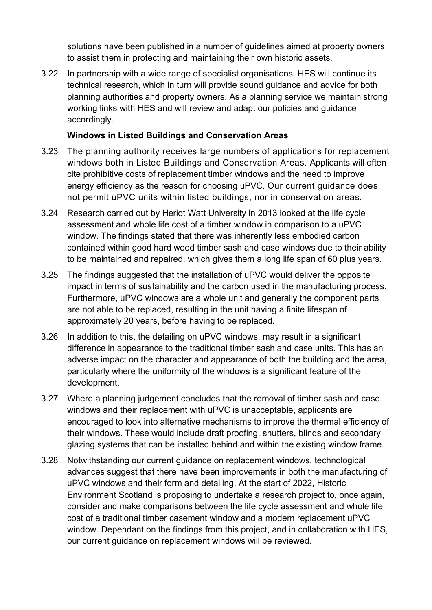solutions have been published in a number of guidelines aimed at property owners to assist them in protecting and maintaining their own historic assets.

3.22 In partnership with a wide range of specialist organisations, HES will continue its technical research, which in turn will provide sound guidance and advice for both planning authorities and property owners. As a planning service we maintain strong working links with HES and will review and adapt our policies and guidance accordingly.

## **Windows in Listed Buildings and Conservation Areas**

- 3.23 The planning authority receives large numbers of applications for replacement windows both in Listed Buildings and Conservation Areas. Applicants will often cite prohibitive costs of replacement timber windows and the need to improve energy efficiency as the reason for choosing uPVC. Our current guidance does not permit uPVC units within listed buildings, nor in conservation areas.
- 3.24 Research carried out by Heriot Watt University in 2013 looked at the life cycle assessment and whole life cost of a timber window in comparison to a uPVC window. The findings stated that there was inherently less embodied carbon contained within good hard wood timber sash and case windows due to their ability to be maintained and repaired, which gives them a long life span of 60 plus years.
- 3.25 The findings suggested that the installation of uPVC would deliver the opposite impact in terms of sustainability and the carbon used in the manufacturing process. Furthermore, uPVC windows are a whole unit and generally the component parts are not able to be replaced, resulting in the unit having a finite lifespan of approximately 20 years, before having to be replaced.
- 3.26 In addition to this, the detailing on uPVC windows, may result in a significant difference in appearance to the traditional timber sash and case units. This has an adverse impact on the character and appearance of both the building and the area, particularly where the uniformity of the windows is a significant feature of the development.
- 3.27 Where a planning judgement concludes that the removal of timber sash and case windows and their replacement with uPVC is unacceptable, applicants are encouraged to look into alternative mechanisms to improve the thermal efficiency of their windows. These would include draft proofing, shutters, blinds and secondary glazing systems that can be installed behind and within the existing window frame.
- 3.28 Notwithstanding our current guidance on replacement windows, technological advances suggest that there have been improvements in both the manufacturing of uPVC windows and their form and detailing. At the start of 2022, Historic Environment Scotland is proposing to undertake a research project to, once again, consider and make comparisons between the life cycle assessment and whole life cost of a traditional timber casement window and a modern replacement uPVC window. Dependant on the findings from this project, and in collaboration with HES, our current guidance on replacement windows will be reviewed.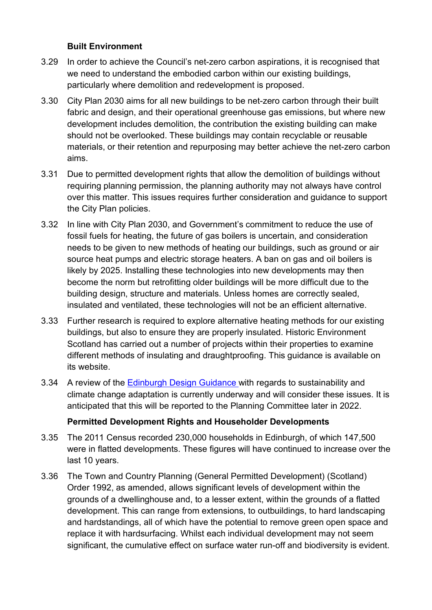## **Built Environment**

- 3.29 In order to achieve the Council's net-zero carbon aspirations, it is recognised that we need to understand the embodied carbon within our existing buildings, particularly where demolition and redevelopment is proposed.
- 3.30 City Plan 2030 aims for all new buildings to be net-zero carbon through their built fabric and design, and their operational greenhouse gas emissions, but where new development includes demolition, the contribution the existing building can make should not be overlooked. These buildings may contain recyclable or reusable materials, or their retention and repurposing may better achieve the net-zero carbon aims.
- 3.31 Due to permitted development rights that allow the demolition of buildings without requiring planning permission, the planning authority may not always have control over this matter. This issues requires further consideration and guidance to support the City Plan policies.
- 3.32 In line with City Plan 2030, and Government's commitment to reduce the use of fossil fuels for heating, the future of gas boilers is uncertain, and consideration needs to be given to new methods of heating our buildings, such as ground or air source heat pumps and electric storage heaters. A ban on gas and oil boilers is likely by 2025. Installing these technologies into new developments may then become the norm but retrofitting older buildings will be more difficult due to the building design, structure and materials. Unless homes are correctly sealed, insulated and ventilated, these technologies will not be an efficient alternative.
- 3.33 Further research is required to explore alternative heating methods for our existing buildings, but also to ensure they are properly insulated. Historic Environment Scotland has carried out a number of projects within their properties to examine different methods of insulating and draughtproofing. This guidance is available on its website.
- 3.34 A review of the [Edinburgh Design Guidance w](https://www.edinburgh.gov.uk/downloads/file/27602/edinburgh-design-guidance-january-2020)ith regards to sustainability and climate change adaptation is currently underway and will consider these issues. It is anticipated that this will be reported to the Planning Committee later in 2022.

## **Permitted Development Rights and Householder Developments**

- 3.35 The 2011 Census recorded 230,000 households in Edinburgh, of which 147,500 were in flatted developments. These figures will have continued to increase over the last 10 years.
- 3.36 The Town and Country Planning (General Permitted Development) (Scotland) Order 1992, as amended, allows significant levels of development within the grounds of a dwellinghouse and, to a lesser extent, within the grounds of a flatted development. This can range from extensions, to outbuildings, to hard landscaping and hardstandings, all of which have the potential to remove green open space and replace it with hardsurfacing. Whilst each individual development may not seem significant, the cumulative effect on surface water run-off and biodiversity is evident.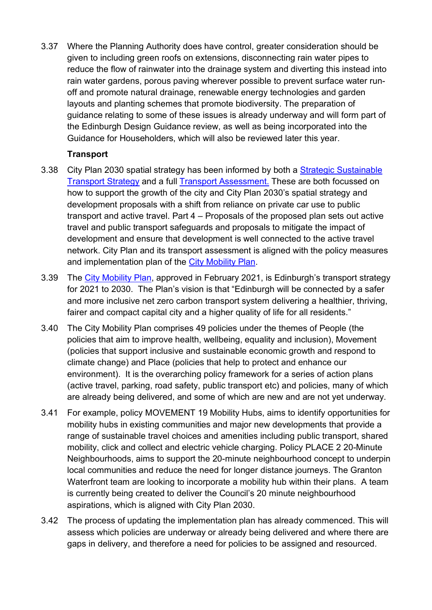3.37 Where the Planning Authority does have control, greater consideration should be given to including green roofs on extensions, disconnecting rain water pipes to reduce the flow of rainwater into the drainage system and diverting this instead into rain water gardens, porous paving wherever possible to prevent surface water runoff and promote natural drainage, renewable energy technologies and garden layouts and planting schemes that promote biodiversity. The preparation of guidance relating to some of these issues is already underway and will form part of the Edinburgh Design Guidance review, as well as being incorporated into the Guidance for Householders, which will also be reviewed later this year.

# **Transport**

- 3.38 City Plan 2030 spatial strategy has been informed by both a [Strategic Sustainable](https://www.edinburgh.gov.uk/downloads/file/26872/edinburgh-strategic-sustainable-transport-study)  [Transport Strategy](https://www.edinburgh.gov.uk/downloads/file/26872/edinburgh-strategic-sustainable-transport-study) and a full [Transport Assessment.](https://www.edinburgh.gov.uk/downloads/file/30007/transport-assessment) These are both focussed on how to support the growth of the city and City Plan 2030's spatial strategy and development proposals with a shift from reliance on private car use to public transport and active travel. Part 4 – Proposals of the proposed plan sets out active travel and public transport safeguards and proposals to mitigate the impact of development and ensure that development is well connected to the active travel network. City Plan and its transport assessment is aligned with the policy measures and implementation plan of the [City Mobility Plan.](https://www.edinburgh.gov.uk/downloads/download/14775/city-mobility-plan-2021-2030)
- 3.39 The [City Mobility Plan,](https://www.edinburgh.gov.uk/city-mobility-plan-1) approved in February 2021, is Edinburgh's transport strategy for 2021 to 2030. The Plan's vision is that "Edinburgh will be connected by a safer and more inclusive net zero carbon transport system delivering a healthier, thriving, fairer and compact capital city and a higher quality of life for all residents."
- 3.40 The City Mobility Plan comprises 49 policies under the themes of People (the policies that aim to improve health, wellbeing, equality and inclusion), Movement (policies that support inclusive and sustainable economic growth and respond to climate change) and Place (policies that help to protect and enhance our environment). It is the overarching policy framework for a series of action plans (active travel, parking, road safety, public transport etc) and policies, many of which are already being delivered, and some of which are new and are not yet underway.
- 3.41 For example, policy MOVEMENT 19 Mobility Hubs, aims to identify opportunities for mobility hubs in existing communities and major new developments that provide a range of sustainable travel choices and amenities including public transport, shared mobility, click and collect and electric vehicle charging. Policy PLACE 2 20-Minute Neighbourhoods, aims to support the 20-minute neighbourhood concept to underpin local communities and reduce the need for longer distance journeys. The Granton Waterfront team are looking to incorporate a mobility hub within their plans. A team is currently being created to deliver the Council's 20 minute neighbourhood aspirations, which is aligned with City Plan 2030.
- 3.42 The process of updating the implementation plan has already commenced. This will assess which policies are underway or already being delivered and where there are gaps in delivery, and therefore a need for policies to be assigned and resourced.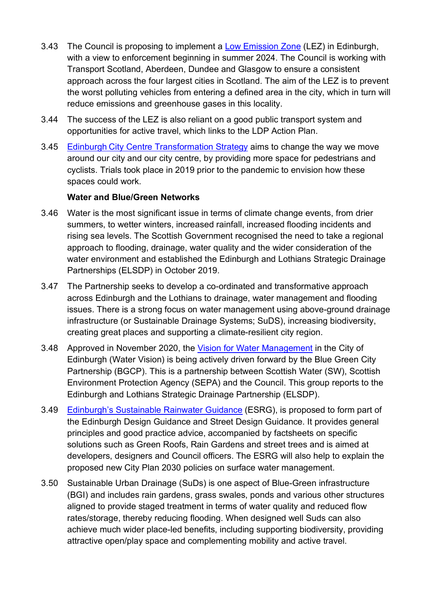- 3.43 The Council is proposing to implement a [Low Emission Zone](https://www.edinburgh.gov.uk/lowemissionzone) (LEZ) in Edinburgh, with a view to enforcement beginning in summer 2024. The Council is working with Transport Scotland, Aberdeen, Dundee and Glasgow to ensure a consistent approach across the four largest cities in Scotland. The aim of the LEZ is to prevent the worst polluting vehicles from entering a defined area in the city, which in turn will reduce emissions and greenhouse gases in this locality.
- 3.44 The success of the LEZ is also reliant on a good public transport system and opportunities for active travel, which links to the LDP Action Plan.
- 3.45 Edinburgh [City Centre Transformation Strategy](https://www.edinburgh.gov.uk/roads-travel-parking/city-centre-transformation) aims to change the way we move around our city and our city centre, by providing more space for pedestrians and cyclists. Trials took place in 2019 prior to the pandemic to envision how these spaces could work.

## **Water and Blue/Green Networks**

- 3.46 Water is the most significant issue in terms of climate change events, from drier summers, to wetter winters, increased rainfall, increased flooding incidents and rising sea levels. The Scottish Government recognised the need to take a regional approach to flooding, drainage, water quality and the wider consideration of the water environment and established the Edinburgh and Lothians Strategic Drainage Partnerships (ELSDP) in October 2019.
- 3.47 The Partnership seeks to develop a co-ordinated and transformative approach across Edinburgh and the Lothians to drainage, water management and flooding issues. There is a strong focus on water management using above-ground drainage infrastructure (or Sustainable Drainage Systems; SuDS), increasing biodiversity, creating great places and supporting a climate-resilient city region.
- 3.48 Approved in November 2020, the [Vision for Water Management](https://www.edinburgh.gov.uk/downloads/file/30101/vision-for-water-management-in-the-city-of-edinburgh) in the City of Edinburgh (Water Vision) is being actively driven forward by the Blue Green City Partnership (BGCP). This is a partnership between Scottish Water (SW), Scottish Environment Protection Agency (SEPA) and the Council. This group reports to the Edinburgh and Lothians Strategic Drainage Partnership (ELSDP).
- 3.49 [Edinburgh's Sustainable Rainwater Guidance](https://www.edinburgh.gov.uk/downloads/download/14933/vision-for-water-management-in-the-city-of-edinburgh) (ESRG), is proposed to form part of the Edinburgh Design Guidance and Street Design Guidance. It provides general principles and good practice advice, accompanied by factsheets on specific solutions such as Green Roofs, Rain Gardens and street trees and is aimed at developers, designers and Council officers. The ESRG will also help to explain the proposed new City Plan 2030 policies on surface water management.
- 3.50 Sustainable Urban Drainage (SuDs) is one aspect of Blue-Green infrastructure (BGI) and includes rain gardens, grass swales, ponds and various other structures aligned to provide staged treatment in terms of water quality and reduced flow rates/storage, thereby reducing flooding. When designed well Suds can also achieve much wider place-led benefits, including supporting biodiversity, providing attractive open/play space and complementing mobility and active travel.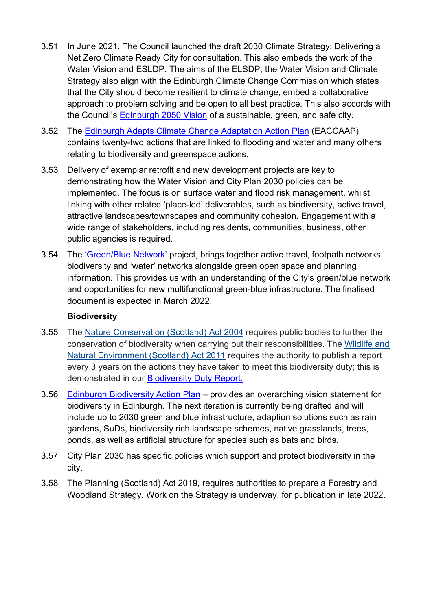- 3.51 In June 2021, The Council launched the draft 2030 Climate Strategy; Delivering a Net Zero Climate Ready City for consultation. This also embeds the work of the Water Vision and ESLDP. The aims of the ELSDP, the Water Vision and Climate Strategy also align with the Edinburgh Climate Change Commission which states that the City should become resilient to climate change, embed a collaborative approach to problem solving and be open to all best practice. This also accords with the Council's [Edinburgh 2050 Vision](https://edinburgh.org/2050-edinburgh-city-vision/) of a sustainable, green, and safe city.
- 3.52 The [Edinburgh Adapts Climate Change Adaptation Action Plan](https://www.edinburgh.gov.uk/downloads/download/13567/edinburgh-adapts) (EACCAAP) contains twenty-two actions that are linked to flooding and water and many others relating to biodiversity and greenspace actions.
- 3.53 Delivery of exemplar retrofit and new development projects are key to demonstrating how the Water Vision and City Plan 2030 policies can be implemented. The focus is on surface water and flood risk management, whilst linking with other related 'place-led' deliverables, such as biodiversity, active travel, attractive landscapes/townscapes and community cohesion. Engagement with a wide range of stakeholders, including residents, communities, business, other public agencies is required.
- 3.54 The ['Green/Blue Network'](https://indd.adobe.com/view/50b41947-c920-4344-88bf-063c81be62de) project, brings together active travel, footpath networks, biodiversity and 'water' networks alongside green open space and planning information. This provides us with an understanding of the City's green/blue network and opportunities for new multifunctional green-blue infrastructure. The finalised document is expected in March 2022.

## **Biodiversity**

- 3.55 The [Nature Conservation \(Scotland\) Act 2004](https://www.legislation.gov.uk/asp/2004/6/contents) requires public bodies to further the conservation of biodiversity when carrying out their responsibilities. The [Wildlife and](http://www.legislation.gov.uk/asp/2011/6/contents/enacted)  [Natural Environment \(Scotland\) Act 2011](http://www.legislation.gov.uk/asp/2011/6/contents/enacted) requires the authority to publish a report every 3 years on the actions they have taken to meet this biodiversity duty; this is demonstrated in our [Biodiversity Duty Report.](https://www.edinburgh.gov.uk/downloads/file/28531/statutory-biodiversity-duty-report-2018-20)
- 3.56 [Edinburgh Biodiversity Action](https://www.edinburgh.gov.uk/downloads/file/26216/edinburgh-biodiversity-action-plan-2019-2021) Plan provides an overarching vision statement for biodiversity in Edinburgh. The next iteration is currently being drafted and will include up to 2030 green and blue infrastructure, adaption solutions such as rain gardens, SuDs, biodiversity rich landscape schemes, native grasslands, trees, ponds, as well as artificial structure for species such as bats and birds.
- 3.57 City Plan 2030 has specific policies which support and protect biodiversity in the city.
- 3.58 The Planning (Scotland) Act 2019, requires authorities to prepare a Forestry and Woodland Strategy. Work on the Strategy is underway, for publication in late 2022.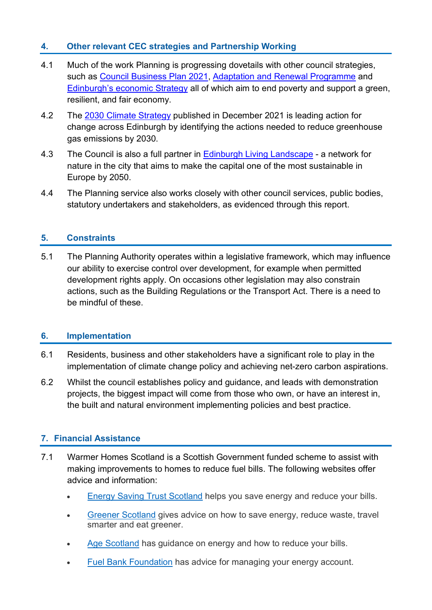# **4. Other relevant CEC strategies and Partnership Working**

- 4.1 Much of the work Planning is progressing dovetails with other council strategies, such as [Council Business Plan 2021,](https://www.edinburgh.gov.uk/downloads/download/14754/council-business-plan-2021-our-future-council-our-future-city) [Adaptation and Renewal Programme](https://www.edinburgh.gov.uk/adaptation-renewal-programme) and [Edinburgh's economic Strategy](https://www.edinburgh.gov.uk/economicstrategy) all of which aim to end poverty and support a green, resilient, and fair economy.
- 4.2 The [2030 Climate Strategy](https://www.edinburgh.gov.uk/2030-Climate-Strategy#:%7E:text=The%202030%20Climate%20Strategy%20sets,reducing%20greenhouse%20gases%20in%20Edinburgh.&text=Renewing%20the%20focus%20on%20climate,transition%20and%20the%20green%20economy.) published in December 2021 is leading action for change across Edinburgh by identifying the actions needed to reduce greenhouse gas emissions by 2030.
- 4.3 The Council is also a full partner in [Edinburgh Living Landscape](https://edinburghlivinglandscape.org.uk/) a network for nature in the city that aims to make the capital one of the most sustainable in Europe by 2050.
- 4.4 The Planning service also works closely with other council services, public bodies, statutory undertakers and stakeholders, as evidenced through this report.

## **5. Constraints**

5.1 The Planning Authority operates within a legislative framework, which may influence our ability to exercise control over development, for example when permitted development rights apply. On occasions other legislation may also constrain actions, such as the Building Regulations or the Transport Act. There is a need to be mindful of these.

#### **6. Implementation**

- 6.1 Residents, business and other stakeholders have a significant role to play in the implementation of climate change policy and achieving net-zero carbon aspirations.
- 6.2 Whilst the council establishes policy and guidance, and leads with demonstration projects, the biggest impact will come from those who own, or have an interest in, the built and natural environment implementing policies and best practice.

## **7. Financial Assistance**

- 7.1 Warmer Homes Scotland is a Scottish Government funded scheme to assist with making improvements to homes to reduce fuel bills. The following websites offer advice and information:
	- [Energy Saving Trust Scotland](http://www.energysavingtrust.org.uk/scotland) helps you save energy and reduce your bills.
	- [Greener Scotland](http://www.greenerscotland.org/) gives advice on how to save energy, reduce waste, travel smarter and eat greener.
	- [Age Scotland](http://www.ageuk.org.uk/scotland/money-matters/energy/) has guidance on energy and how to reduce your bills.
	- [Fuel Bank Foundation](https://www.fuelbankfoundation.org/individuals/) has advice for managing your energy account.